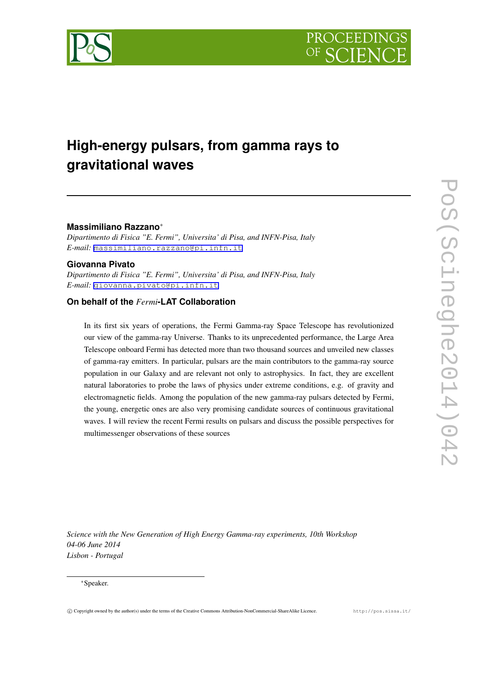



# **High-energy pulsars, from gamma rays to gravitational waves**

#### **Massimiliano Razzano***∗*

*Dipartimento di Fisica "E. Fermi", Universita' di Pisa, and INFN-Pisa, Italy E-mail:* [massimiliano.razzano@pi.infn.it](mailto:massimiliano.razzano@pi.infn.it)

#### **Giovanna Pivato**

*Dipartimento di Fisica "E. Fermi", Universita' di Pisa, and INFN-Pisa, Italy E-mail:* [giovanna.pivato@pi.infn.it](mailto:giovanna.pivato@pi.infn.it)

## **On behalf of the** *Fermi***-LAT Collaboration**

In its first six years of operations, the Fermi Gamma-ray Space Telescope has revolutionized our view of the gamma-ray Universe. Thanks to its unprecedented performance, the Large Area Telescope onboard Fermi has detected more than two thousand sources and unveiled new classes of gamma-ray emitters. In particular, pulsars are the main contributors to the gamma-ray source population in our Galaxy and are relevant not only to astrophysics. In fact, they are excellent natural laboratories to probe the laws of physics under extreme conditions, e.g. of gravity and electromagnetic fields. Among the population of the new gamma-ray pulsars detected by Fermi, the young, energetic ones are also very promising candidate sources of continuous gravitational waves. I will review the recent Fermi results on pulsars and discuss the possible perspectives for multimessenger observations of these sources

*Science with the New Generation of High Energy Gamma-ray experiments, 10th Workshop 04-06 June 2014 Lisbon - Portugal*

#### *∗*Speaker.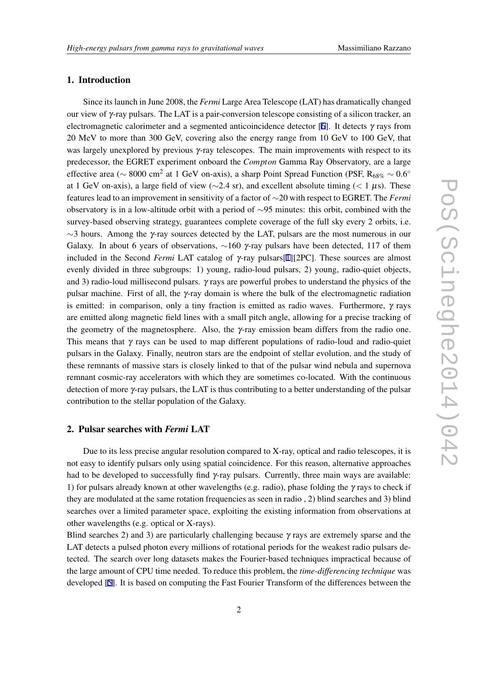## 1. Introduction

Since its launch in June 2008, the *Fermi* Large Area Telescope (LAT) has dramatically changed our view of γ-ray pulsars. The LAT is a pair-conversion telescope consisting of a silicon tracker, an electromagnetic calorimeter and a segmented anticoincidence detector [\[6\]](#page-7-0). It detects  $\gamma$  rays from 20 MeV to more than 300 GeV, covering also the energy range from 10 GeV to 100 GeV, that was largely unexplored by previous  $\gamma$ -ray telescopes. The main improvements with respect to its predecessor, the EGRET experiment onboard the *Compton* Gamma Ray Observatory, are a large effective area ( $\sim 8000 \text{ cm}^2$  at 1 GeV on-axis), a sharp Point Spread Function (PSF,  $R_{68\%} \sim 0.6^{\circ}$ at 1 GeV on-axis), a large field of view (*∼*2.4 sr), and excellent absolute timing (*<* 1 <sup>µ</sup>s). These features lead to an improvement in sensitivity of a factor of *∼*20 with respect to EGRET. The *Fermi* observatory is in a low-altitude orbit with a period of *∼*95 minutes: this orbit, combined with the survey-based observing strategy, guarantees complete coverage of the full sky every 2 orbits, i.e. *∼*3 hours. Among the <sup>γ</sup>-ray sources detected by the LAT, pulsars are the most numerous in our Galaxy. In about 6 years of observations, ~160 γ-ray pulsars have been detected, 117 of them included in the Second *Fermi* LAT catalog of γ-ray pulsars[\[1\]](#page-6-0)[2PC]. These sources are almost evenly divided in three subgroups: 1) young, radio-loud pulsars, 2) young, radio-quiet objects, and 3) radio-loud millisecond pulsars. γ rays are powerful probes to understand the physics of the pulsar machine. First of all, the γ-ray domain is where the bulk of the electromagnetic radiation is emitted: in comparison, only a tiny fraction is emitted as radio waves. Furthermore, γ rays are emitted along magnetic field lines with a small pitch angle, allowing for a precise tracking of the geometry of the magnetosphere. Also, the  $\gamma$ -ray emission beam differs from the radio one. This means that  $\gamma$  rays can be used to map different populations of radio-loud and radio-quiet pulsars in the Galaxy. Finally, neutron stars are the endpoint of stellar evolution, and the study of these remnants of massive stars is closely linked to that of the pulsar wind nebula and supernova remnant cosmic-ray accelerators with which they are sometimes co-located. With the continuous detection of more γ-ray pulsars, the LAT is thus contributing to a better understanding of the pulsar contribution to the stellar population of the Galaxy.

#### 2. Pulsar searches with *Fermi* LAT

Due to its less precise angular resolution compared to X-ray, optical and radio telescopes, it is not easy to identify pulsars only using spatial coincidence. For this reason, alternative approaches had to be developed to successfully find γ-ray pulsars. Currently, three main ways are available: 1) for pulsars already known at other wavelengths (e.g. radio), phase folding the  $\gamma$  rays to check if they are modulated at the same rotation frequencies as seen in radio , 2) blind searches and 3) blind searches over a limited parameter space, exploiting the existing information from observations at other wavelengths (e.g. optical or X-rays).

Blind searches 2) and 3) are particularly challenging because  $\gamma$  rays are extremely sparse and the LAT detects a pulsed photon every millions of rotational periods for the weakest radio pulsars detected. The search over long datasets makes the Fourier-based techniques impractical because of the large amount of CPU time needed. To reduce this problem, the *time-differencing technique* was developed [\[5\]](#page-7-0). It is based on computing the Fast Fourier Transform of the differences between the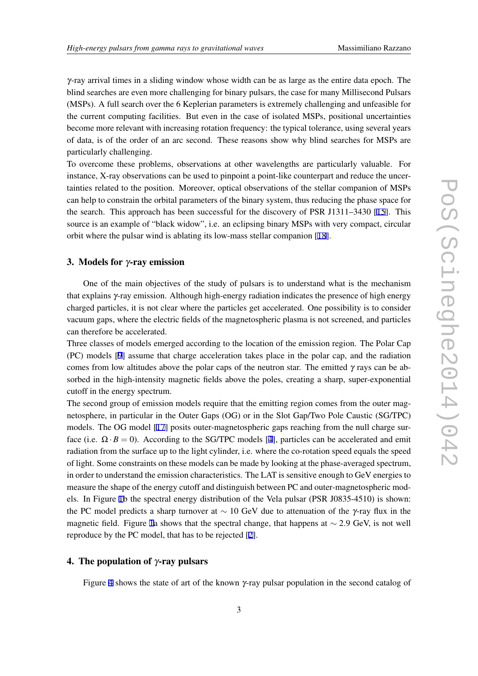$\gamma$ -ray arrival times in a sliding window whose width can be as large as the entire data epoch. The blind searches are even more challenging for binary pulsars, the case for many Millisecond Pulsars (MSPs). A full search over the 6 Keplerian parameters is extremely challenging and unfeasible for the current computing facilities. But even in the case of isolated MSPs, positional uncertainties become more relevant with increasing rotation frequency: the typical tolerance, using several years of data, is of the order of an arc second. These reasons show why blind searches for MSPs are particularly challenging.

To overcome these problems, observations at other wavelengths are particularly valuable. For instance, X-ray observations can be used to pinpoint a point-like counterpart and reduce the uncertainties related to the position. Moreover, optical observations of the stellar companion of MSPs can help to constrain the orbital parameters of the binary system, thus reducing the phase space for the search. This approach has been successful for the discovery of PSR J1311–3430 [\[15](#page-7-0)]. This source is an example of "black widow", i.e. an eclipsing binary MSPs with very compact, circular orbit where the pulsar wind is ablating its low-mass stellar companion [\[18](#page-7-0)].

## 3. Models for γ-ray emission

One of the main objectives of the study of pulsars is to understand what is the mechanism that explains γ-ray emission. Although high-energy radiation indicates the presence of high energy charged particles, it is not clear where the particles get accelerated. One possibility is to consider vacuum gaps, where the electric fields of the magnetospheric plasma is not screened, and particles can therefore be accelerated.

Three classes of models emerged according to the location of the emission region. The Polar Cap (PC) models [[9](#page-7-0)] assume that charge acceleration takes place in the polar cap, and the radiation comes from low altitudes above the polar caps of the neutron star. The emitted  $\gamma$  rays can be absorbed in the high-intensity magnetic fields above the poles, creating a sharp, super-exponential cutoff in the energy spectrum.

The second group of emission models require that the emitting region comes from the outer magnetosphere, in particular in the Outer Gaps (OG) or in the Slot Gap/Two Pole Caustic (SG/TPC) models. The OG model [[17\]](#page-7-0) posits outer-magnetospheric gaps reaching from the null charge surface (i.e.  $\Omega \cdot B = 0$ ). According to the SG/TPC models [\[4\]](#page-6-0), particles can be accelerated and emit radiation from the surface up to the light cylinder, i.e. where the co-rotation speed equals the speed of light. Some constraints on these models can be made by looking at the phase-averaged spectrum, in order to understand the emission characteristics. The LAT is sensitive enough to GeV energies to measure the shape of the energy cutoff and distinguish between PC and outer-magnetospheric models. In Figure [1](#page-3-0)b the spectral energy distribution of the Vela pulsar (PSR J0835-4510) is shown: the PC model predicts a sharp turnover at *∼* 10 GeV due to attenuation of the <sup>γ</sup>-ray flux in the magnetic field. Figure [1a](#page-3-0) shows that the spectral change, that happens at *∼* 2*.*9 GeV, is not well reproduce by the PC model, that has to be rejected [[2](#page-6-0)].

## 4. The population of  $\gamma$ -ray pulsars

Figure [4](#page-3-0) shows the state of art of the known  $\gamma$ -ray pulsar population in the second catalog of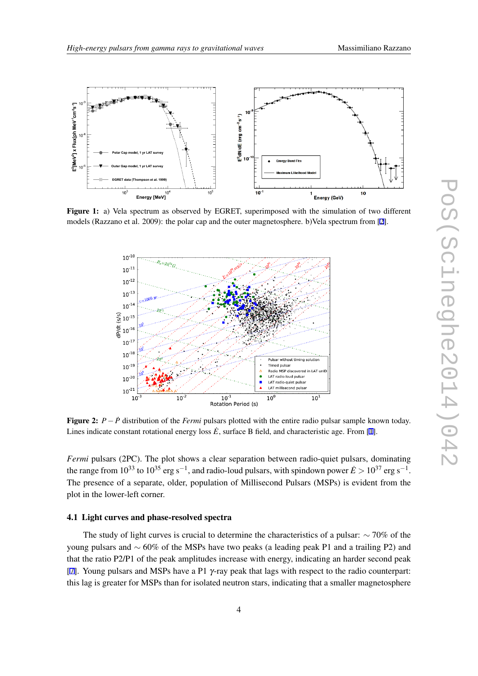<span id="page-3-0"></span>

Figure 1: a) Vela spectrum as observed by EGRET, superimposed with the simulation of two different models (Razzano et al. 2009): the polar cap and the outer magnetosphere. b)Vela spectrum from [\[2](#page-6-0)].



Figure 2: *<sup>P</sup>−P*˙ distribution of the *Fermi* pulsars plotted with the entire radio pulsar sample known today. Lines indicate constant rotational energy loss  $\vec{E}$ , surface B field, and characteristic age. From [[1\]](#page-6-0).

*Fermi* pulsars (2PC). The plot shows a clear separation between radio-quiet pulsars, dominating the range from 10<sup>33</sup> to 10<sup>35</sup> erg s*−*<sup>1</sup> , and radio-loud pulsars, with spindown power *E*˙ *>* 10<sup>37</sup> erg s*−*<sup>1</sup> . The presence of a separate, older, population of Millisecond Pulsars (MSPs) is evident from the plot in the lower-left corner.

#### 4.1 Light curves and phase-resolved spectra

The study of light curves is crucial to determine the characteristics of a pulsar: *∼* 70% of the young pulsars and *∼* 60% of the MSPs have two peaks (a leading peak P1 and a trailing P2) and that the ratio P2/P1 of the peak amplitudes increase with energy, indicating an harder second peak [[7](#page-7-0)]. Young pulsars and MSPs have a P1 γ-ray peak that lags with respect to the radio counterpart: this lag is greater for MSPs than for isolated neutron stars, indicating that a smaller magnetosphere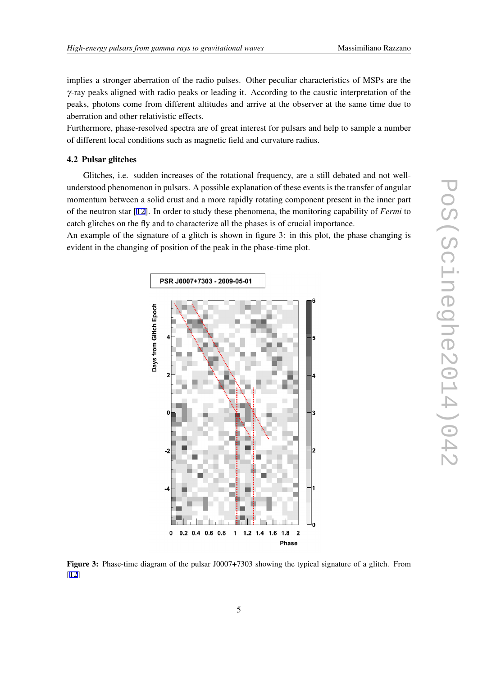implies a stronger aberration of the radio pulses. Other peculiar characteristics of MSPs are the γ-ray peaks aligned with radio peaks or leading it. According to the caustic interpretation of the peaks, photons come from different altitudes and arrive at the observer at the same time due to aberration and other relativistic effects.

Furthermore, phase-resolved spectra are of great interest for pulsars and help to sample a number of different local conditions such as magnetic field and curvature radius.

#### 4.2 Pulsar glitches

Glitches, i.e. sudden increases of the rotational frequency, are a still debated and not wellunderstood phenomenon in pulsars. A possible explanation of these events is the transfer of angular momentum between a solid crust and a more rapidly rotating component present in the inner part of the neutron star [[12\]](#page-7-0). In order to study these phenomena, the monitoring capability of *Fermi* to catch glitches on the fly and to characterize all the phases is of crucial importance.

An example of the signature of a glitch is shown in figure 3: in this plot, the phase changing is evident in the changing of position of the peak in the phase-time plot.



Figure 3: Phase-time diagram of the pulsar J0007+7303 showing the typical signature of a glitch. From [[12\]](#page-7-0)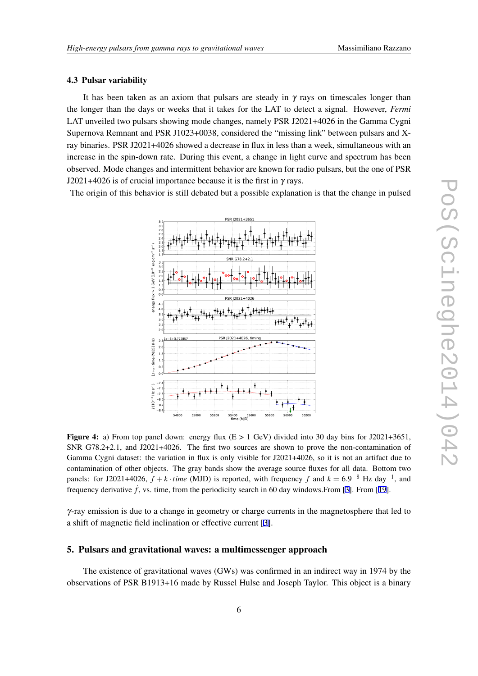#### 4.3 Pulsar variability

It has been taken as an axiom that pulsars are steady in  $\gamma$  rays on timescales longer than the longer than the days or weeks that it takes for the LAT to detect a signal. However, *Fermi* LAT unveiled two pulsars showing mode changes, namely PSR J2021+4026 in the Gamma Cygni Supernova Remnant and PSR J1023+0038, considered the "missing link" between pulsars and Xray binaries. PSR J2021+4026 showed a decrease in flux in less than a week, simultaneous with an increase in the spin-down rate. During this event, a change in light curve and spectrum has been observed. Mode changes and intermittent behavior are known for radio pulsars, but the one of PSR J2021+4026 is of crucial importance because it is the first in  $\gamma$  rays.

The origin of this behavior is still debated but a possible explanation is that the change in pulsed



**Figure 4:** a) From top panel down: energy flux  $(E > 1 \text{ GeV})$  divided into 30 day bins for J2021+3651, SNR G78.2+2.1, and J2021+4026. The first two sources are shown to prove the non-contamination of Gamma Cygni dataset: the variation in flux is only visible for J2021+4026, so it is not an artifact due to contamination of other objects. The gray bands show the average source fluxes for all data. Bottom two panels: for J2021+4026,  $f + k \cdot time$  (MJD) is reported, with frequency  $f$  and  $k = 6.9^{-8}$  Hz day<sup>-1</sup>, and frequency derivative  $\dot{f}$ , vs. time, from the periodicity search in 60 day windows. From [\[3](#page-6-0)]. From [\[19](#page-7-0)].

 $\gamma$ -ray emission is due to a change in geometry or charge currents in the magnetosphere that led to a shift of magnetic field inclination or effective current [\[3\]](#page-6-0).

#### 5. Pulsars and gravitational waves: a multimessenger approach

The existence of gravitational waves (GWs) was confirmed in an indirect way in 1974 by the observations of PSR B1913+16 made by Russel Hulse and Joseph Taylor. This object is a binary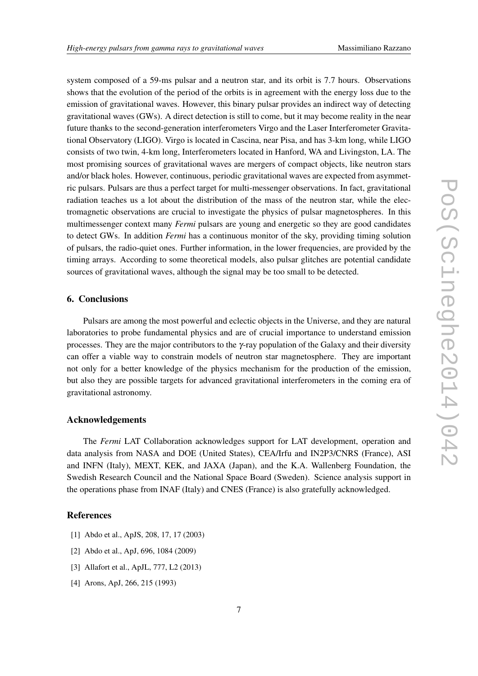<span id="page-6-0"></span>system composed of a 59-ms pulsar and a neutron star, and its orbit is 7.7 hours. Observations shows that the evolution of the period of the orbits is in agreement with the energy loss due to the emission of gravitational waves. However, this binary pulsar provides an indirect way of detecting gravitational waves (GWs). A direct detection is still to come, but it may become reality in the near future thanks to the second-generation interferometers Virgo and the Laser Interferometer Gravitational Observatory (LIGO). Virgo is located in Cascina, near Pisa, and has 3-km long, while LIGO consists of two twin, 4-km long, Interferometers located in Hanford, WA and Livingston, LA. The most promising sources of gravitational waves are mergers of compact objects, like neutron stars and/or black holes. However, continuous, periodic gravitational waves are expected from asymmetric pulsars. Pulsars are thus a perfect target for multi-messenger observations. In fact, gravitational radiation teaches us a lot about the distribution of the mass of the neutron star, while the electromagnetic observations are crucial to investigate the physics of pulsar magnetospheres. In this multimessenger context many *Fermi* pulsars are young and energetic so they are good candidates to detect GWs. In addition *Fermi* has a continuous monitor of the sky, providing timing solution of pulsars, the radio-quiet ones. Further information, in the lower frequencies, are provided by the timing arrays. According to some theoretical models, also pulsar glitches are potential candidate sources of gravitational waves, although the signal may be too small to be detected.

#### 6. Conclusions

Pulsars are among the most powerful and eclectic objects in the Universe, and they are natural laboratories to probe fundamental physics and are of crucial importance to understand emission processes. They are the major contributors to the  $\gamma$ -ray population of the Galaxy and their diversity can offer a viable way to constrain models of neutron star magnetosphere. They are important not only for a better knowledge of the physics mechanism for the production of the emission, but also they are possible targets for advanced gravitational interferometers in the coming era of gravitational astronomy.

## Acknowledgements

The *Fermi* LAT Collaboration acknowledges support for LAT development, operation and data analysis from NASA and DOE (United States), CEA/Irfu and IN2P3/CNRS (France), ASI and INFN (Italy), MEXT, KEK, and JAXA (Japan), and the K.A. Wallenberg Foundation, the Swedish Research Council and the National Space Board (Sweden). Science analysis support in the operations phase from INAF (Italy) and CNES (France) is also gratefully acknowledged.

## References

- [1] Abdo et al., ApJS, 208, 17, 17 (2003)
- [2] Abdo et al., ApJ, 696, 1084 (2009)
- [3] Allafort et al., ApJL, 777, L2 (2013)
- [4] Arons, ApJ, 266, 215 (1993)